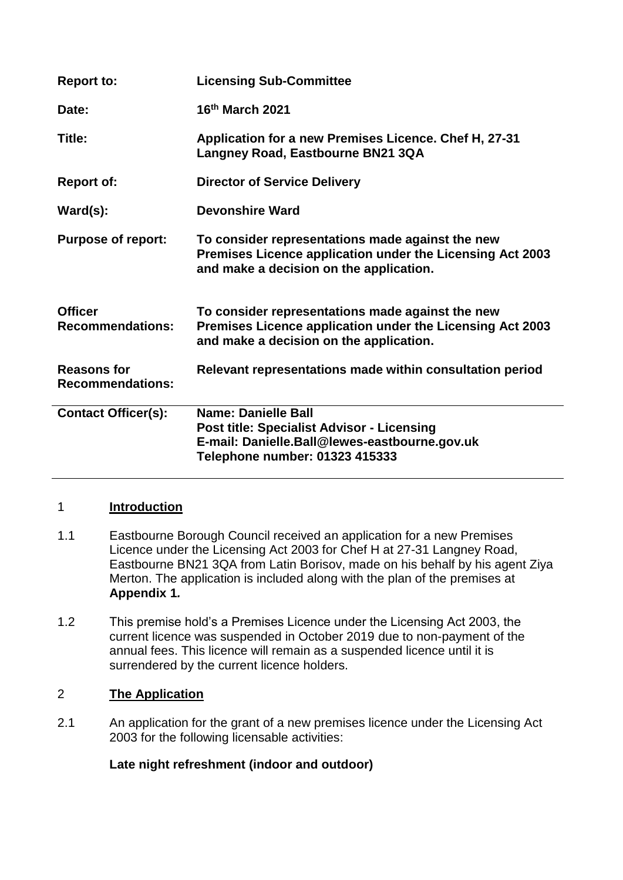| <b>Report to:</b>                             | <b>Licensing Sub-Committee</b>                                                                                                                              |
|-----------------------------------------------|-------------------------------------------------------------------------------------------------------------------------------------------------------------|
| Date:                                         | 16th March 2021                                                                                                                                             |
| Title:                                        | Application for a new Premises Licence. Chef H, 27-31<br>Langney Road, Eastbourne BN21 3QA                                                                  |
| <b>Report of:</b>                             | <b>Director of Service Delivery</b>                                                                                                                         |
| $\textsf{Ward}(s)$ :                          | Devonshire Ward                                                                                                                                             |
| <b>Purpose of report:</b>                     | To consider representations made against the new<br>Premises Licence application under the Licensing Act 2003<br>and make a decision on the application.    |
| <b>Officer</b><br><b>Recommendations:</b>     | To consider representations made against the new<br>Premises Licence application under the Licensing Act 2003<br>and make a decision on the application.    |
| <b>Reasons for</b><br><b>Recommendations:</b> | Relevant representations made within consultation period                                                                                                    |
| <b>Contact Officer(s):</b>                    | Name: Danielle Ball<br><b>Post title: Specialist Advisor - Licensing</b><br>E-mail: Danielle.Ball@lewes-eastbourne.gov.uk<br>Telephone number: 01323 415333 |

# 1 **Introduction**

- 1.1 Eastbourne Borough Council received an application for a new Premises Licence under the Licensing Act 2003 for Chef H at 27-31 Langney Road, Eastbourne BN21 3QA from Latin Borisov, made on his behalf by his agent Ziya Merton. The application is included along with the plan of the premises at **Appendix 1***.*
- 1.2 This premise hold's a Premises Licence under the Licensing Act 2003, the current licence was suspended in October 2019 due to non-payment of the annual fees. This licence will remain as a suspended licence until it is surrendered by the current licence holders.

# 2 **The Application**

2.1 An application for the grant of a new premises licence under the Licensing Act 2003 for the following licensable activities:

# **Late night refreshment (indoor and outdoor)**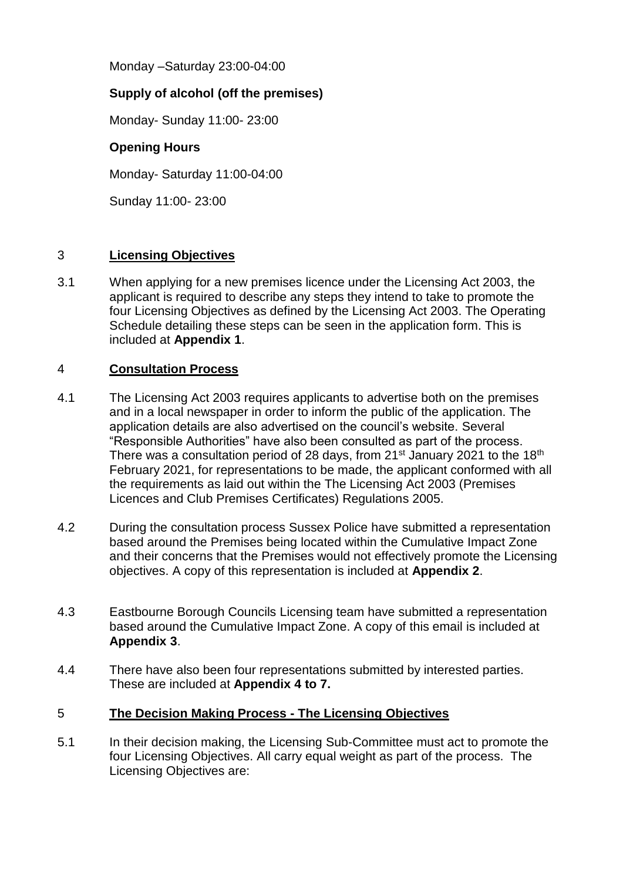Monday –Saturday 23:00-04:00

# **Supply of alcohol (off the premises)**

Monday- Sunday 11:00- 23:00

# **Opening Hours**

Monday- Saturday 11:00-04:00

Sunday 11:00- 23:00

# 3 **Licensing Objectives**

3.1 When applying for a new premises licence under the Licensing Act 2003, the applicant is required to describe any steps they intend to take to promote the four Licensing Objectives as defined by the Licensing Act 2003. The Operating Schedule detailing these steps can be seen in the application form. This is included at **Appendix 1**.

#### 4 **Consultation Process**

- 4.1 The Licensing Act 2003 requires applicants to advertise both on the premises and in a local newspaper in order to inform the public of the application. The application details are also advertised on the council's website. Several "Responsible Authorities" have also been consulted as part of the process. There was a consultation period of 28 days, from 21<sup>st</sup> January 2021 to the 18<sup>th</sup> February 2021, for representations to be made, the applicant conformed with all the requirements as laid out within the The Licensing Act 2003 (Premises Licences and Club Premises Certificates) Regulations 2005.
- 4.2 During the consultation process Sussex Police have submitted a representation based around the Premises being located within the Cumulative Impact Zone and their concerns that the Premises would not effectively promote the Licensing objectives. A copy of this representation is included at **Appendix 2**.
- 4.3 Eastbourne Borough Councils Licensing team have submitted a representation based around the Cumulative Impact Zone. A copy of this email is included at **Appendix 3**.
- 4.4 There have also been four representations submitted by interested parties. These are included at **Appendix 4 to 7.**

# 5 **The Decision Making Process - The Licensing Objectives**

5.1 In their decision making, the Licensing Sub-Committee must act to promote the four Licensing Objectives. All carry equal weight as part of the process. The Licensing Objectives are: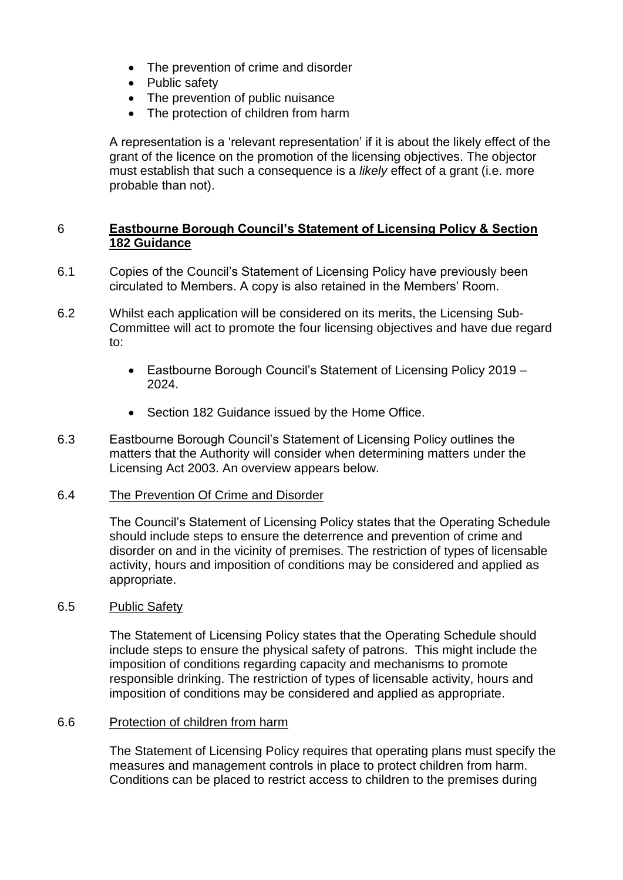- The prevention of crime and disorder
- Public safety
- The prevention of public nuisance
- The protection of children from harm

A representation is a 'relevant representation' if it is about the likely effect of the grant of the licence on the promotion of the licensing objectives. The objector must establish that such a consequence is a *likely* effect of a grant (i.e. more probable than not).

### 6 **Eastbourne Borough Council's Statement of Licensing Policy & Section 182 Guidance**

- 6.1 Copies of the Council's Statement of Licensing Policy have previously been circulated to Members. A copy is also retained in the Members' Room.
- 6.2 Whilst each application will be considered on its merits, the Licensing Sub-Committee will act to promote the four licensing objectives and have due regard to:
	- Eastbourne Borough Council's Statement of Licensing Policy 2019 2024.
	- Section 182 Guidance issued by the Home Office.
- 6.3 Eastbourne Borough Council's Statement of Licensing Policy outlines the matters that the Authority will consider when determining matters under the Licensing Act 2003. An overview appears below.

#### 6.4 The Prevention Of Crime and Disorder

The Council's Statement of Licensing Policy states that the Operating Schedule should include steps to ensure the deterrence and prevention of crime and disorder on and in the vicinity of premises. The restriction of types of licensable activity, hours and imposition of conditions may be considered and applied as appropriate.

#### 6.5 Public Safety

The Statement of Licensing Policy states that the Operating Schedule should include steps to ensure the physical safety of patrons. This might include the imposition of conditions regarding capacity and mechanisms to promote responsible drinking. The restriction of types of licensable activity, hours and imposition of conditions may be considered and applied as appropriate.

#### 6.6 Protection of children from harm

The Statement of Licensing Policy requires that operating plans must specify the measures and management controls in place to protect children from harm. Conditions can be placed to restrict access to children to the premises during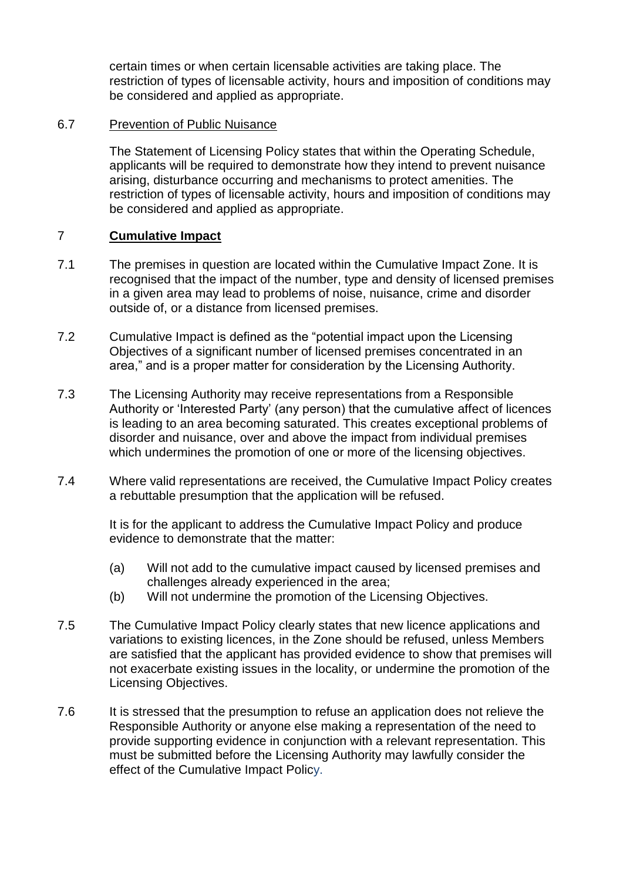certain times or when certain licensable activities are taking place. The restriction of types of licensable activity, hours and imposition of conditions may be considered and applied as appropriate.

#### 6.7 Prevention of Public Nuisance

The Statement of Licensing Policy states that within the Operating Schedule, applicants will be required to demonstrate how they intend to prevent nuisance arising, disturbance occurring and mechanisms to protect amenities. The restriction of types of licensable activity, hours and imposition of conditions may be considered and applied as appropriate.

#### 7 **Cumulative Impact**

- 7.1 The premises in question are located within the Cumulative Impact Zone. It is recognised that the impact of the number, type and density of licensed premises in a given area may lead to problems of noise, nuisance, crime and disorder outside of, or a distance from licensed premises.
- 7.2 Cumulative Impact is defined as the "potential impact upon the Licensing Objectives of a significant number of licensed premises concentrated in an area," and is a proper matter for consideration by the Licensing Authority.
- 7.3 The Licensing Authority may receive representations from a Responsible Authority or 'Interested Party' (any person) that the cumulative affect of licences is leading to an area becoming saturated. This creates exceptional problems of disorder and nuisance, over and above the impact from individual premises which undermines the promotion of one or more of the licensing objectives.
- 7.4 Where valid representations are received, the Cumulative Impact Policy creates a rebuttable presumption that the application will be refused.

It is for the applicant to address the Cumulative Impact Policy and produce evidence to demonstrate that the matter:

- (a) Will not add to the cumulative impact caused by licensed premises and challenges already experienced in the area;
- (b) Will not undermine the promotion of the Licensing Objectives.
- 7.5 The Cumulative Impact Policy clearly states that new licence applications and variations to existing licences, in the Zone should be refused, unless Members are satisfied that the applicant has provided evidence to show that premises will not exacerbate existing issues in the locality, or undermine the promotion of the Licensing Objectives.
- 7.6 It is stressed that the presumption to refuse an application does not relieve the Responsible Authority or anyone else making a representation of the need to provide supporting evidence in conjunction with a relevant representation. This must be submitted before the Licensing Authority may lawfully consider the effect of the Cumulative Impact Policy.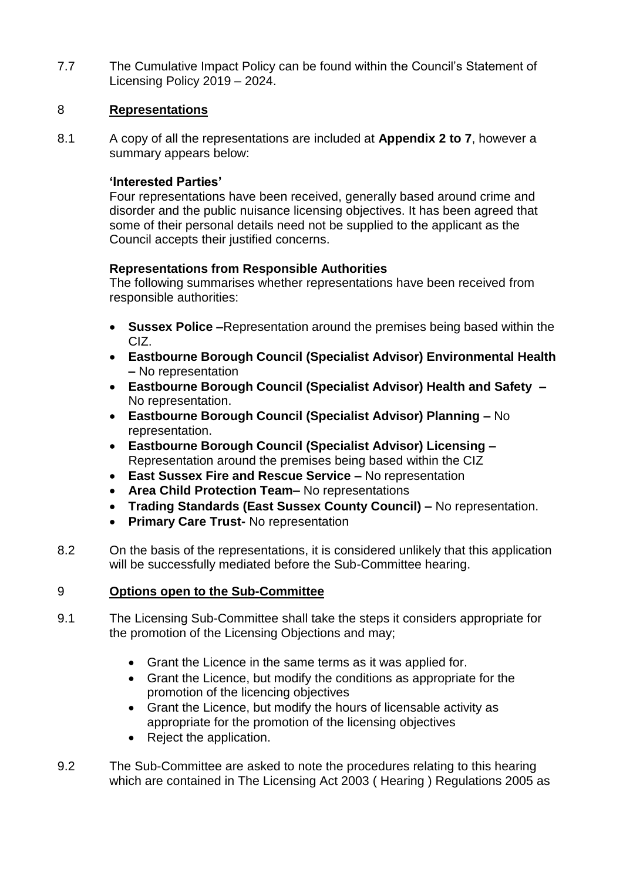7.7 The Cumulative Impact Policy can be found within the Council's Statement of Licensing Policy 2019 – 2024.

### 8 **Representations**

8.1 A copy of all the representations are included at **Appendix 2 to 7**, however a summary appears below:

#### **'Interested Parties'**

Four representations have been received, generally based around crime and disorder and the public nuisance licensing objectives. It has been agreed that some of their personal details need not be supplied to the applicant as the Council accepts their justified concerns.

#### **Representations from Responsible Authorities**

The following summarises whether representations have been received from responsible authorities:

- **Sussex Police –**Representation around the premises being based within the CIZ.
- **Eastbourne Borough Council (Specialist Advisor) Environmental Health –** No representation
- **Eastbourne Borough Council (Specialist Advisor) Health and Safety –** No representation.
- **Eastbourne Borough Council (Specialist Advisor) Planning –** No representation.
- **Eastbourne Borough Council (Specialist Advisor) Licensing –** Representation around the premises being based within the CIZ
- **East Sussex Fire and Rescue Service –** No representation
- **Area Child Protection Team–** No representations
- **Trading Standards (East Sussex County Council) –** No representation.
- **Primary Care Trust-** No representation
- 8.2 On the basis of the representations, it is considered unlikely that this application will be successfully mediated before the Sub-Committee hearing.

#### 9 **Options open to the Sub-Committee**

- 9.1 The Licensing Sub-Committee shall take the steps it considers appropriate for the promotion of the Licensing Objections and may;
	- Grant the Licence in the same terms as it was applied for.
	- Grant the Licence, but modify the conditions as appropriate for the promotion of the licencing objectives
	- Grant the Licence, but modify the hours of licensable activity as appropriate for the promotion of the licensing objectives
	- Reject the application.
- 9.2 The Sub-Committee are asked to note the procedures relating to this hearing which are contained in The Licensing Act 2003 ( Hearing ) Regulations 2005 as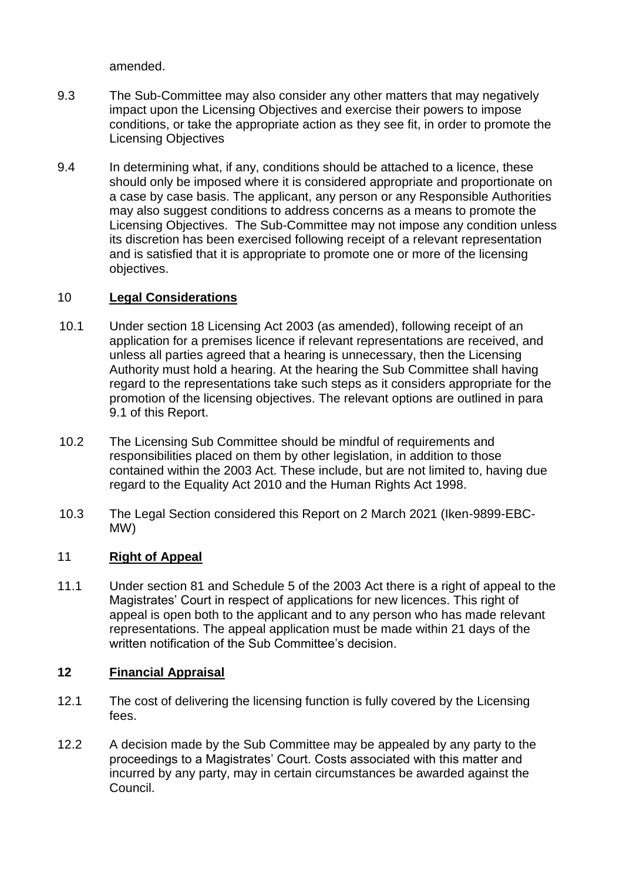amended.

- 9.3 The Sub-Committee may also consider any other matters that may negatively impact upon the Licensing Objectives and exercise their powers to impose conditions, or take the appropriate action as they see fit, in order to promote the Licensing Objectives
- 9.4 In determining what, if any, conditions should be attached to a licence, these should only be imposed where it is considered appropriate and proportionate on a case by case basis. The applicant, any person or any Responsible Authorities may also suggest conditions to address concerns as a means to promote the Licensing Objectives. The Sub-Committee may not impose any condition unless its discretion has been exercised following receipt of a relevant representation and is satisfied that it is appropriate to promote one or more of the licensing objectives.

# 10 **Legal Considerations**

- 10.1 Under section 18 Licensing Act 2003 (as amended), following receipt of an application for a premises licence if relevant representations are received, and unless all parties agreed that a hearing is unnecessary, then the Licensing Authority must hold a hearing. At the hearing the Sub Committee shall having regard to the representations take such steps as it considers appropriate for the promotion of the licensing objectives. The relevant options are outlined in para 9.1 of this Report.
- 10.2 The Licensing Sub Committee should be mindful of requirements and responsibilities placed on them by other legislation, in addition to those contained within the 2003 Act. These include, but are not limited to, having due regard to the Equality Act 2010 and the Human Rights Act 1998.
- 10.3 The Legal Section considered this Report on 2 March 2021 (Iken-9899-EBC-MW)

# 11 **Right of Appeal**

11.1 Under section 81 and Schedule 5 of the 2003 Act there is a right of appeal to the Magistrates' Court in respect of applications for new licences. This right of appeal is open both to the applicant and to any person who has made relevant representations. The appeal application must be made within 21 days of the written notification of the Sub Committee's decision.

# **12 Financial Appraisal**

- 12.1 The cost of delivering the licensing function is fully covered by the Licensing fees.
- 12.2 A decision made by the Sub Committee may be appealed by any party to the proceedings to a Magistrates' Court. Costs associated with this matter and incurred by any party, may in certain circumstances be awarded against the Council.